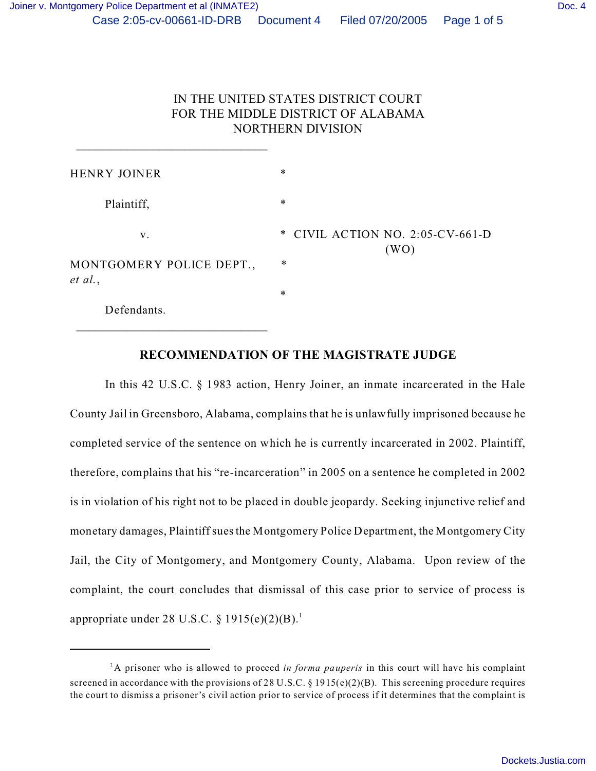$\overline{\phantom{a}}$  ,  $\overline{\phantom{a}}$  ,  $\overline{\phantom{a}}$  ,  $\overline{\phantom{a}}$  ,  $\overline{\phantom{a}}$  ,  $\overline{\phantom{a}}$  ,  $\overline{\phantom{a}}$  ,  $\overline{\phantom{a}}$  ,  $\overline{\phantom{a}}$  ,  $\overline{\phantom{a}}$  ,  $\overline{\phantom{a}}$  ,  $\overline{\phantom{a}}$  ,  $\overline{\phantom{a}}$  ,  $\overline{\phantom{a}}$  ,  $\overline{\phantom{a}}$  ,  $\overline{\phantom{a}}$ 

 $\overline{\phantom{a}}$  ,  $\overline{\phantom{a}}$  ,  $\overline{\phantom{a}}$  ,  $\overline{\phantom{a}}$  ,  $\overline{\phantom{a}}$  ,  $\overline{\phantom{a}}$  ,  $\overline{\phantom{a}}$  ,  $\overline{\phantom{a}}$  ,  $\overline{\phantom{a}}$  ,  $\overline{\phantom{a}}$  ,  $\overline{\phantom{a}}$  ,  $\overline{\phantom{a}}$  ,  $\overline{\phantom{a}}$  ,  $\overline{\phantom{a}}$  ,  $\overline{\phantom{a}}$  ,  $\overline{\phantom{a}}$ 

# IN THE UNITED STATES DISTRICT COURT FOR THE MIDDLE DISTRICT OF ALABAMA NORTHERN DIVISION

| HENRY JOINER                        | ∗                                |
|-------------------------------------|----------------------------------|
| Plaintiff,                          | $\ast$                           |
| v.                                  | * CIVIL ACTION NO. 2:05-CV-661-D |
| MONTGOMERY POLICE DEPT.,<br>et al., | (WO)<br>$\ast$                   |
|                                     | $\ast$                           |
| Defendants.                         |                                  |

## **RECOMMENDATION OF THE MAGISTRATE JUDGE**

In this 42 U.S.C. § 1983 action, Henry Joiner, an inmate incarcerated in the Hale County Jail in Greensboro, Alabama, complains that he is unlawfully imprisoned because he completed service of the sentence on which he is currently incarcerated in 2002. Plaintiff, therefore, complains that his "re-incarceration" in 2005 on a sentence he completed in 2002 is in violation of his right not to be placed in double jeopardy. Seeking injunctive relief and monetary damages, Plaintiff sues the Montgomery Police Department, the Montgomery City Jail, the City of Montgomery, and Montgomery County, Alabama. Upon review of the complaint, the court concludes that dismissal of this case prior to service of process is appropriate under 28 U.S.C.  $\S 1915(e)(2)(B)$ .

<sup>1</sup>A prisoner who is allowed to proceed *in forma pauperis* in this court will have his complaint screened in accordance with the provisions of 28 U.S.C.  $\S$  1915(e)(2)(B). This screening procedure requires the court to dismiss a prisoner's civil action prior to service of process if it determines that the complaint is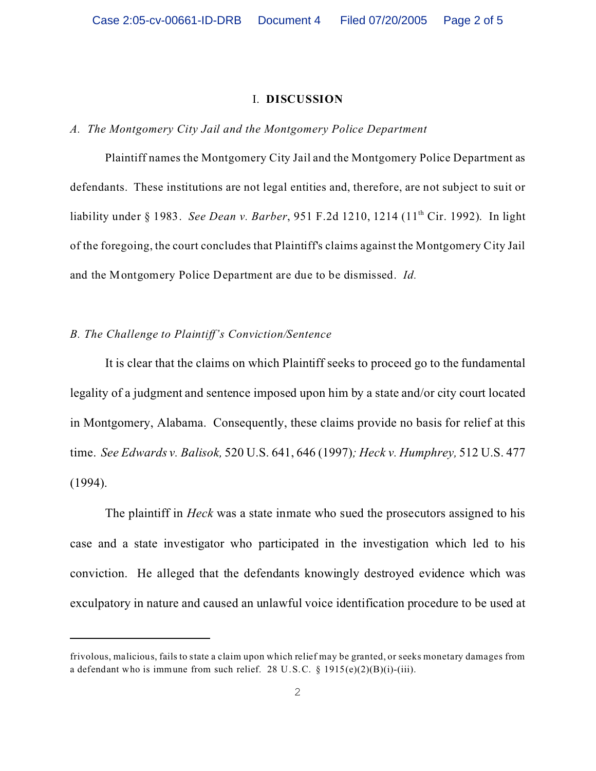#### I. **DISCUSSION**

### *A. The Montgomery City Jail and the Montgomery Police Department*

Plaintiff names the Montgomery City Jail and the Montgomery Police Department as defendants. These institutions are not legal entities and, therefore, are not subject to suit or liability under § 1983. *See Dean v. Barber*, 951 F.2d 1210, 1214 (11<sup>th</sup> Cir. 1992). In light of the foregoing, the court concludes that Plaintiff's claims against the Montgomery City Jail and the Montgomery Police Department are due to be dismissed. *Id.*

### *B. The Challenge to Plaintiff's Conviction/Sentence*

It is clear that the claims on which Plaintiff seeks to proceed go to the fundamental legality of a judgment and sentence imposed upon him by a state and/or city court located in Montgomery, Alabama. Consequently, these claims provide no basis for relief at this time. *See Edwards v. Balisok,* 520 U.S. 641, 646 (1997)*; Heck v. Humphrey,* 512 U.S. 477 (1994).

The plaintiff in *Heck* was a state inmate who sued the prosecutors assigned to his case and a state investigator who participated in the investigation which led to his conviction. He alleged that the defendants knowingly destroyed evidence which was exculpatory in nature and caused an unlawful voice identification procedure to be used at

frivolous, malicious, fails to state a claim upon which relief may be granted, or seeks monetary damages from a defendant who is immune from such relief. 28 U.S.C. § 1915(e)(2)(B)(i)-(iii).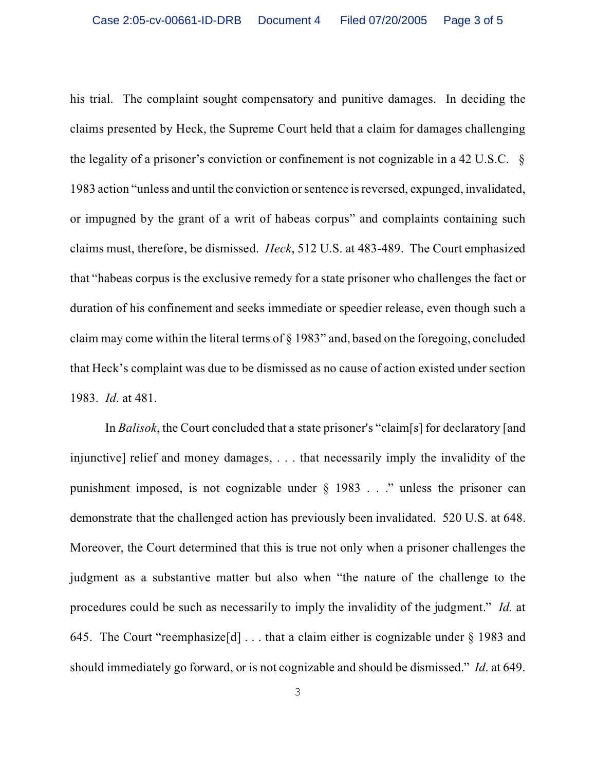his trial. The complaint sought compensatory and punitive damages. In deciding the claims presented by Heck, the Supreme Court held that a claim for damages challenging the legality of a prisoner's conviction or confinement is not cognizable in a 42 U.S.C. § 1983 action "unless and until the conviction or sentence is reversed, expunged, invalidated, or impugned by the grant of a writ of habeas corpus" and complaints containing such claims must, therefore, be dismissed. *Heck*, 512 U.S. at 483-489. The Court emphasized that "habeas corpus is the exclusive remedy for a state prisoner who challenges the fact or duration of his confinement and seeks immediate or speedier release, even though such a claim may come within the literal terms of § 1983" and, based on the foregoing, concluded that Heck's complaint was due to be dismissed as no cause of action existed under section 1983. *Id*. at 481.

In *Balisok*, the Court concluded that a state prisoner's "claim[s] for declaratory [and injunctive] relief and money damages, . . . that necessarily imply the invalidity of the punishment imposed, is not cognizable under  $\S$  1983 . . ." unless the prisoner can demonstrate that the challenged action has previously been invalidated. 520 U.S. at 648. Moreover, the Court determined that this is true not only when a prisoner challenges the judgment as a substantive matter but also when "the nature of the challenge to the procedures could be such as necessarily to imply the invalidity of the judgment." *Id.* at 645. The Court "reemphasize<sup>[d]</sup> . . . that a claim either is cognizable under  $\S$  1983 and should immediately go forward, or is not cognizable and should be dismissed." *Id*. at 649.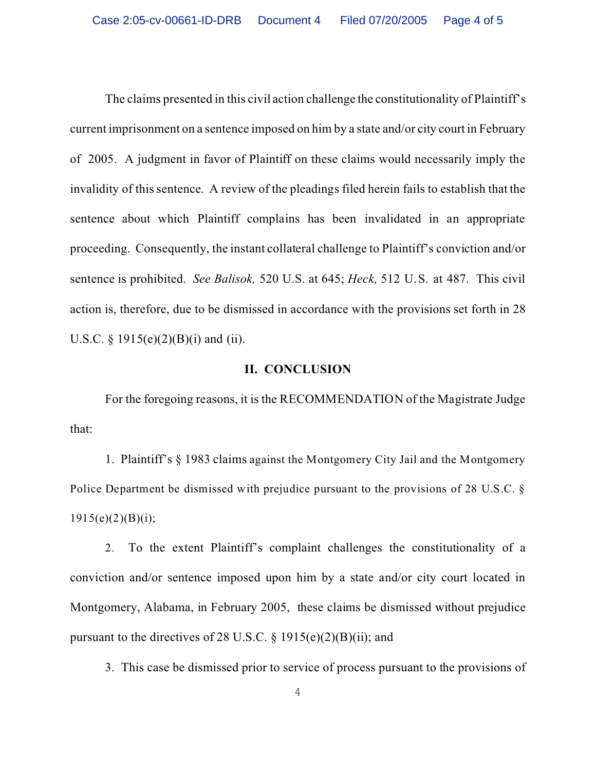The claims presented in this civil action challenge the constitutionality of Plaintiff's current imprisonment on a sentence imposed on him by a state and/or city court in February of 2005. A judgment in favor of Plaintiff on these claims would necessarily imply the invalidity of this sentence. A review of the pleadings filed herein fails to establish that the sentence about which Plaintiff complains has been invalidated in an appropriate proceeding. Consequently, the instant collateral challenge to Plaintiff's conviction and/or sentence is prohibited. *See Balisok,* 520 U.S. at 645; *Heck,* 512 U.S. at 487. This civil action is, therefore, due to be dismissed in accordance with the provisions set forth in 28 U.S.C.  $\S$  1915(e)(2)(B)(i) and (ii).

## **II. CONCLUSION**

For the foregoing reasons, it is the RECOMMENDATION of the Magistrate Judge that:

1. Plaintiff's § 1983 claims against the Montgomery City Jail and the Montgomery Police Department be dismissed with prejudice pursuant to the provisions of 28 U.S.C. §  $1915(e)(2)(B)(i);$ 

2. To the extent Plaintiff's complaint challenges the constitutionality of a conviction and/or sentence imposed upon him by a state and/or city court located in Montgomery, Alabama, in February 2005, these claims be dismissed without prejudice pursuant to the directives of 28 U.S.C.  $\S$  1915(e)(2)(B)(ii); and

3. This case be dismissed prior to service of process pursuant to the provisions of